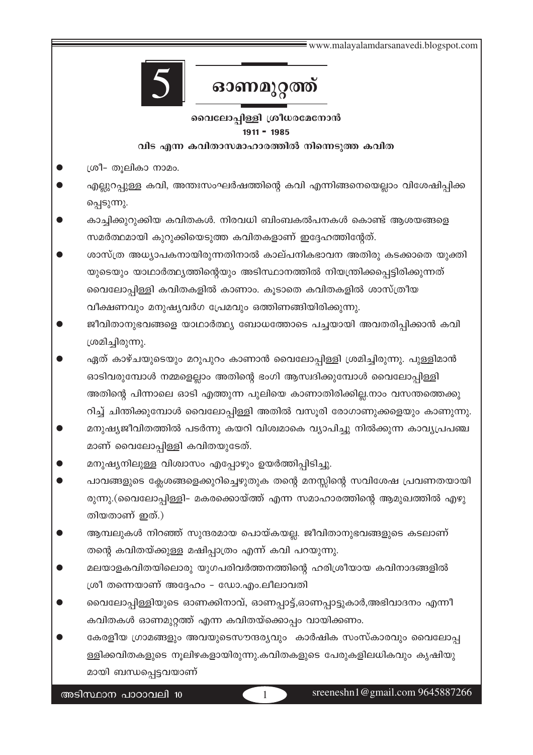# ഓണമുറ്റത്ത്

# വൈലോപ്പിള്ളി ശ്രീധരമേനോൻ  $1911 - 1985$

#### വിട എന്ന കവിതാസമാഹാരത്തിൽ നിന്നെടുത്ത കവിത

- ശ്രീ- തുലികാ നാമം.
- എല്ലുറപ്പുള്ള കവി, അന്തഃസംഘർഷത്തിന്റെ കവി എന്നിങ്ങനെയെല്ലാം വിശേഷിപ്പിക്ക പ്പെടുന്നു.
- കാച്ചിക്കുറുക്കിയ കവിതകൾ. നിരവധി ബിംബകൽപനകൾ കൊണ്ട് ആശയങ്ങളെ സമർത്ഥമായി കുറുക്കിയെടുത്ത കവിതകളാണ് ഇദ്ദേഹത്തിന്റേത്.
- ശാസ്ത്ര അധ്യാപകനായിരുന്നതിനാൽ കാല്പനികഭാവന അതിരു കടക്കാതെ യുക്തി യുടെയും യാഥാർത്ഥ്യത്തിന്റെയും അടിസ്ഥാനത്തിൽ നിയന്ത്രിക്കപ്പെട്ടിരിക്കുന്നത് വൈലോപ്പിള്ളി കവിതകളിൽ കാണാം. കൂടാതെ കവിതകളിൽ ശാസ്ത്രീയ വീക്ഷണവും മനുഷ്യവർഗ പ്രേമവും ഒത്തിണങ്ങിയിരിക്കുന്നു.
- ജീവിതാനുഭവങ്ങളെ യാഥാർത്ഥ്യ ബോധത്തോടെ പച്ചയായി അവതരിപ്പിക്കാൻ കവി ശ്രമിച്ചിരുന്നു.
- ഏത് കാഴ്ചയുടെയും മറുപുറം കാണാൻ വൈലോപ്പിള്ളി ശ്രമിച്ചിരുന്നു. പുള്ളിമാൻ ഓടിവരുമ്പോൾ നമ്മളെല്ലാം അതിന്റെ ഭംഗി ആസ്വദിക്കുമ്പോൾ വൈലോപ്പിള്ളി അതിന്റെ പിന്നാലെ ഓടി എത്തുന്ന പുലിയെ കാണാതിരിക്കില്ല.നാം വസന്തത്തെക്കു റിച്ച് ചിന്തിക്കുമ്പോൾ വൈലോപ്പിള്ളി അതിൽ വസൂരി രോഗാണുക്കളെയും കാണുന്നു.
- മനുഷ്യജീവിതത്തിൽ പടർന്നു കയറി വിശ്വമാകെ വ്യാപിച്ചു നിൽക്കുന്ന കാവ്യപ്രപഞ്ച മാണ് വൈലോപ്പിള്ളി കവിതയുടേത്.
- മനുഷ്യനിലുള്ള വിശ്വാസം എപ്പോഴും ഉയർത്തിപ്പിടിച്ചു.
- പാവങ്ങളുടെ ക്ലേശങ്ങളെക്കുറിച്ചെഴുതുക തന്റെ മനസ്സിന്റെ സവിശേഷ പ്രവണതയായി രുന്നു.(വൈലോപ്പിള്ളി– മകരക്കൊയ്ത്ത് എന്ന സമാഹാരത്തിന്റെ ആമുഖത്തിൽ എഴു തിയതാണ് ഇത്.)
- ആമ്പലുകൾ നിറഞ്ഞ് സുന്ദരമായ പൊയ്കയല്ല. ജീവിതാനുഭവങ്ങളുടെ കടലാണ് തന്റെ കവിതയ്ക്കുള്ള മഷിപ്പാത്രം എന്ന് കവി പറയുന്നു.
- മലയാളകവിതയിലൊരു യുഗപരിവർത്തനത്തിന്റെ ഹരിശ്രീയായ കവിനാദങ്ങളിൽ ശ്രീ തന്നെയാണ് അദ്ദേഹം – ഡോ.എം.ലീലാവതി
- വൈലോപ്പിള്ളിയുടെ ഓണക്കിനാവ്, ഓണപ്പാട്ട്,ഓണപ്പാട്ടുകാർ,അഭിവാദനം എന്നീ കവിതകൾ ഓണമുറ്റത്ത് എന്ന കവിതയ്ക്കൊപ്പം വായിക്കണം.
- കേരളീയ ഗ്രാമങ്ങളും അവയുടെസൗന്ദര്യവും കാർഷിക സംസ്കാരവും വൈലോപ്പ ള്ളിക്കവിതകളുടെ നൂലിഴകളായിരുന്നു.കവിതകളുടെ പേരുകളിലധികവും കൃഷിയു മായി ബന്ധപ്പെട്ടവയാണ്

 $\mathbf{1}$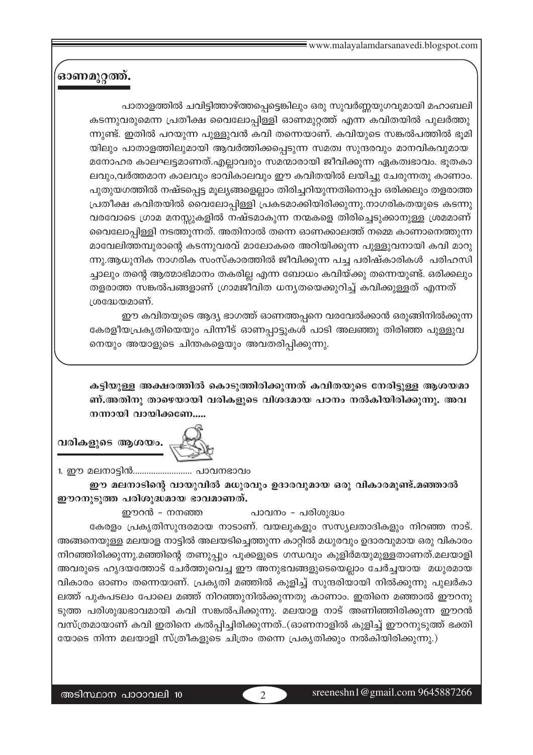# ഓണമുറ്റത്ത്.

പാതാളത്തിൽ ചവിട്ടിത്താഴ്ത്തപ്പെട്ടെങ്കിലും ഒരു സുവർണ്ണയുഗവുമായി മഹാബലി കടന്നുവരുമെന്ന പ്രതീക്ഷ വൈലോപ്പിള്ളി ഓണമുറ്റത്ത് എന്ന കവിതയിൽ പുലർത്തു ന്നുണ്ട്. ഇതിൽ പറയുന്ന പുളളുവൻ കവി തന്നെയാണ്. കവിയുടെ സങ്കൽപത്തിൽ ഭുമി യിലും പാതാളത്തിലുമായി ആവർത്തിക്കപ്പെടുന്ന സമത്വ സുന്ദരവും മാനവികവുമായ മനോഹര കാലഘട്ടമാണത്.എല്ലാവരും സമന്മാരായി ജീവിക്കുന്ന ഏകത്വഭാവം. ഭൂതകാ ലവും,വർത്തമാന കാലവും ഭാവികാലവും ഈ കവിതയിൽ ലയിച്ചു ചേരുന്നതു കാണാം. പുതുയഗത്തിൽ നഷ്ടപ്പെട്ട മൂല്യങ്ങളെല്ലാം തിരിച്ചറിയുന്നതിനൊപ്പം ഒരിക്കലും തളരാത്ത (പതീക്ഷ കവിതയിൽ വൈലോപ്പിള്ളി പ്രകടമാക്കിയിരിക്കുന്നു.നാഗരികതയുടെ കടന്നു വരവോടെ ഗ്രാമ മനസ്സുകളിൽ നഷ്ടമാകുന്ന നന്മകളെ തിരിച്ചെടുക്കാനുള്ള ശ്രമമാണ് വൈലോപ്പിള്ളി നടത്തുന്നത്. അതിനാൽ തന്നെ ഓണക്കാലത്ത് നമ്മെ കാണാനെത്തുന്ന മാവേലിത്തമ്പുരാന്റെ കടന്നുവരവ് മാലോകരെ അറിയിക്കുന്ന പുള്ളുവനായി കവി മാറു ന്നു.ആധുനിക നാഗരിക സംസ്കാരത്തിൽ ജീവിക്കുന്ന പച്ച പരിഷ്കാരികൾ പരിഹസി ച്ചാലും തന്റെ ആത്മാഭിമാനം തകരില്ല എന്ന ബോധം കവിയ്ക്കു തന്നെയുണ്ട്. ഒരിക്കലും തളരാത്ത സങ്കൽപങ്ങളാണ് ഗ്രാമജീവിത ധനൃതയെക്കുറിച്ച് കവിക്കുള്ളത് എന്നത്  $10^{\circ}$ ദ്ധയമാണ്.

ഈ കവിതയുടെ ആദ്യ ഭാഗത്ത് ഓണത്തപ്പനെ വരവേൽക്കാൻ ഒരുങ്ങിനിൽക്കുന്ന കേരളീയപ്രകൃതിയെയും പിന്നീട് ഓണപ്പാട്ടുകൾ പാടി അലഞ്ഞു തിരിഞ്ഞ പുള്ളുവ നെയും അയാളുടെ ചിന്തകളെയും അവതരിപ്പിക്കുന്നു.

<sup>കട്ടിയുള്ള അക്ഷരത്തിൽ കൊടുത്തിരിക്കുന്നത് കവിതയുടെ നേരിട്ടുള്ള ആശയമാ</sup>  $m$ ,അതിനു താഴെയായി വരികളുടെ വിശദമായ പഠനം നൽകിയിരിക്കുന്നു. അവ ിത്തായി വായിക്കണേ.....

വരികളുടെ ആശയം.

1. ഈ മലനാട്ടിൻ............................ പാവനഭാവം

ഈ മലനാടിന്റെ വായുവിൽ മധുരവും ഉദാരവുമായ ഒരു വികാരമുണ്ട്.മഞ്ഞാൽ **ഈറനുടുത്ത പരിശുദ്ധമായ ഭാവമാണത്.** 

ഈറൻ - നനഞ്ഞ $\qquad \qquad \text{and} \qquad \qquad \text{and} \qquad \text{and}$ 

ഭകരളം പ്രകൃതിസുന്ദരമായ നാടാണ്. വയലുകളും സസ്യലതാദികളും നിറഞ്ഞ നാട്. അങ്ങനെയുള്ള മലയാള നാട്ടിൽ അലയടിച്ചെത്തുന്ന കാറ്റിൽ മധുരവും ഉദാരവുമായ ഒരു വികാരം  $\alpha$ ിറഞ്ഞിരിക്കുന്നു.മഞ്ഞിന്റെ തണുപ്പും പൂക്കളുടെ ഗന്ധവും കുളിർമയുമുള്ളതാണത്.മലയാളി അവരുടെ ഹൃദയത്തോട് ചേർത്തുവെച്ച ഈ അനുഭവങ്ങളുടെയെല്ലാം ചേർച്ചയായ മധുരമായ വികാരം ഓണം തന്നെയാണ്. പ്രകൃതി മഞ്ഞിൽ കുളിച്ച് സുന്ദരിയായി നിൽക്കുന്നു പുലർകാ ലത്ത് പുകപടലം പോലെ മഞ്ഞ് നിറഞ്ഞുനിൽക്കുന്നതു കാണാം. ഇതിനെ മഞ്ഞാൽ ഈറനു ടുത്ത പരിശുദ്ധഭാവമായി കവി സങ്കൽപിക്കുന്നു. മലയാള നാട് അണിഞ്ഞിരിക്കുന്ന ഈറൻ വസ്ത്രമായാണ് കവി ഇതിനെ കൽപ്പിച്ചിരിക്കുന്നത്..(ഓണനാളിൽ കുളിച്ച് ഈറനുടുത്ത് ഭക്തി

യോടെ നിന്ന മലയാളി സ്ത്രീകളുടെ ചിത്രം തന്നെ പ്രകൃതിക്കും നൽകിയിരിക്കുന്നു.)

അടിസ്ഥാന പാഠാവലി 10  $\sqrt{2}$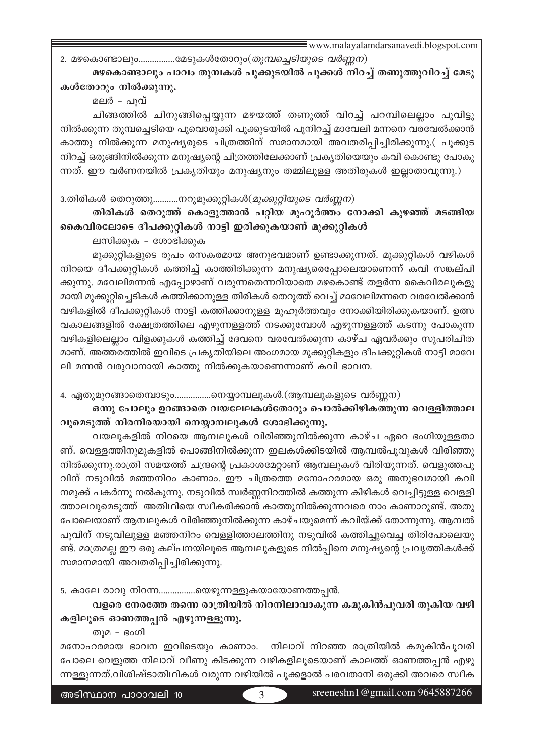2. മഴകൊണ്ടാലും................മേടുകൾതോറും(*തുമ്പച്ചെടിയുടെ വർണ്ണന*)

# മഴകൊണ്ടാലും പാവം തുമ്പകൾ പൂക്കുടയിൽ പൂക്കൾ നിറച്ച് തണുത്തുവിറച്ച് മേടു കൾതോറും നിൽക്കുന്നു.

മലർ - പൂവ്

ചിങ്ങത്തിൽ ചിനുങ്ങിപ്പെയ്യുന്ന മഴയത്ത് തണുത്ത് വിറച്ച് പറമ്പിലെല്ലാം പൂവിട്ടു നിൽക്കുന്ന തുമ്പച്ചെടിയെ പൂവൊരുക്കി പൂക്കുടയിൽ പുനിറച്ച് മാവേലി മന്നനെ വരവേൽക്കാൻ കാത്തു നിൽക്കുന്ന മനുഷ്യരുടെ ചിത്രത്തിന് സമാനമായി അവതരിപ്പിച്ചിരിക്കുന്നു.( പൂക്കുട നിറച്ച് ഒരുങ്ങിനിൽക്കുന്ന മനുഷ്യന്റെ ചിത്രത്തിലേക്കാണ് പ്രകൃതിയെയും കവി കൊണ്ടു പോകു ന്നത്. ഈ വർണനയിൽ പ്രകൃതിയും മനുഷ്യനും തമ്മിലുള്ള അതിരുകൾ ഇല്ലാതാവുന്നു.)

3.തിരികൾ തെറുത്തു............നറുമുക്കുറ്റികൾ(*മുക്കുറ്റിയുടെ വർണ്ണന*)

തിരികൾ തെറുത്ത് കൊളുത്താൻ പറ്റിയ മുഹൂർത്തം നോക്കി കുഴഞ്ഞ് മടങ്ങിയ കൈവിരലോടെ ദീപക്കുറ്റികൾ നാട്ടി ഇരിക്കുകയാണ് മുക്കുറ്റികൾ

ലസിക്കുക – ശോഭിക്കുക

മുക്കുറ്റികളുടെ രൂപം രസകരമായ അനുഭവമാണ് ഉണ്ടാക്കുന്നത്. മുക്കുറ്റികൾ വഴികൾ നിറയെ ദീപക്കുറ്റികൾ കത്തിച്ച് കാത്തിരിക്കുന്ന മനുഷ്യരെപ്പോലെയാണെന്ന് കവി സങ്കല്പി ക്കുന്നു. മവേലിമന്നൻ എപ്പോഴാണ് വരുന്നതെന്നറിയാതെ മഴകൊണ്ട് തളർന്ന കൈവിരലുകളു മായി മുക്കുറ്റിച്ചെടികൾ കത്തിക്കാനുള്ള തിരികൾ തെറുത്ത് വെച്ച് മാവേലിമന്നനെ വരവേൽക്കാൻ വഴികളിൽ ദീപക്കുറ്റികൾ നാട്ടി കത്തിക്കാനുള്ള മുഹൂർത്തവും നോക്കിയിരിക്കുകയാണ്. ഉത്സ വകാലങ്ങളിൽ ക്ഷേത്രത്തിലെ എഴുന്നള്ളത്ത് നടക്കുമ്പോൾ എഴുന്നള്ളത്ത് കടന്നു പോകുന്ന വഴികളിലെല്ലാം വിളക്കുകൾ കത്തിച്ച് ദേവനെ വരവേൽക്കുന്ന കാഴ്ച ഏവർക്കും സുപരിചിത മാണ്. അത്തരത്തിൽ ഇവിടെ പ്രകൃതിയിലെ അംഗമായ മുക്കുറ്റികളും ദീപക്കുറ്റികൾ നാട്ടി മാവേ ലി മന്നൻ വരുവാനായി കാത്തു നിൽക്കുകയാണെന്നാണ് കവി ഭാവന.

4. ഏതുമുറങ്ങാതെമ്പാടും.................നെയ്യാമ്പലുകൾ.(ആമ്പലുകളുടെ വർണ്ണന)

# ഒന്നു പോലും ഉറങ്ങാതെ വയലേലകൾതോറും പൊൽക്കിഴികത്തുന്ന വെള്ളിത്താല വുമെടുത്ത് നിരനിരയായി നെയ്യാമ്പലുകൾ ശോഭിക്കുന്നു.

വയലുകളിൽ നിറയെ ആമ്പലുകൾ വിരിഞ്ഞുനിൽക്കുന്ന കാഴ്ച ഏറെ ഭംഗിയുള്ളതാ ണ്. വെള്ളത്തിനുമുകളിൽ പൊങ്ങിനിൽക്കുന്ന ഇലകൾക്കിടയിൽ ആമ്പൽപൂവുകൾ വിരിഞ്ഞു നിൽക്കുന്നു.രാത്രി സമയത്ത് ചന്ദ്രന്റെ പ്രകാശമേറ്റാണ് ആമ്പലുകൾ വിരിയുന്നത്. വെളുത്തപൂ വിന് നടുവിൽ മഞ്ഞനിറം കാണാം. ഈ ചിത്രത്തെ മനോഹരമായ ഒരു അനുഭവമായി കവി നമുക്ക് പകർന്നു നൽകുന്നു. നടുവിൽ സ്വർണ്ണനിറത്തിൽ കത്തുന്ന കിഴികൾ വെച്ചിട്ടുള്ള വെള്ളി ത്താലവുമെടുത്ത് അതിഥിയെ സ്വീകരിക്കാൻ കാത്തുനിൽക്കുന്നവരെ നാം കാണാറുണ്ട്. അതു പോലെയാണ് ആമ്പലുകൾ വിരിഞ്ഞുനിൽക്കുന്ന കാഴ്ചയുമെന്ന് കവിയ്ക്ക് തോന്നുന്നു. ആമ്പൽ പൂവിന് നടുവിലുള്ള മഞ്ഞനിറം വെള്ളിത്താലത്തിനു നടുവിൽ കത്തിച്ചുവെച്ച തിരിപോലെയു ണ്ട്. മാത്രമല്ല ഈ ഒരു കല്പനയിലൂടെ ആമ്പലുകളുടെ നിൽപ്പിനെ മനുഷ്യന്റെ പ്രവൃത്തികൾക്ക് സമാനമായി അവതരിപ്പിച്ചിരിക്കുന്നു.

5. കാലേ രാവു നിറന്ന……………യെഴുന്നള്ളുകയായോണത്തപ്പൻ.

വളരെ നേരത്തേ തന്നെ രാത്രിയിൽ നിറനിലാവാകുന്ന കമുകിൻപൂവരി തൂകിയ വഴി കളിലൂടെ ഓണത്തപ്പൻ എഴുന്നള്ളുന്നു.

തുമ – ഭംഗി

മനോഹരമായ ഭാവന ഇവിടെയും കാണാം. നിലാവ് നിറഞ്ഞ രാത്രിയിൽ കമുകിൻപുവരി പോലെ വെളുത്ത നിലാവ് വീണു കിടക്കുന്ന വഴികളിലൂടെയാണ് കാലത്ത് ഓണത്തപ്പൻ എഴു ന്നള്ളുന്നത്.വിശിഷ്ടാതിഥികൾ വരുന്ന വഴിയിൽ പൂക്കളാൽ പരവതാനി ഒരുക്കി അവരെ സ്വീക

sreeneshn $1@$ gmail.com 9645887266

 $\mathcal{R}$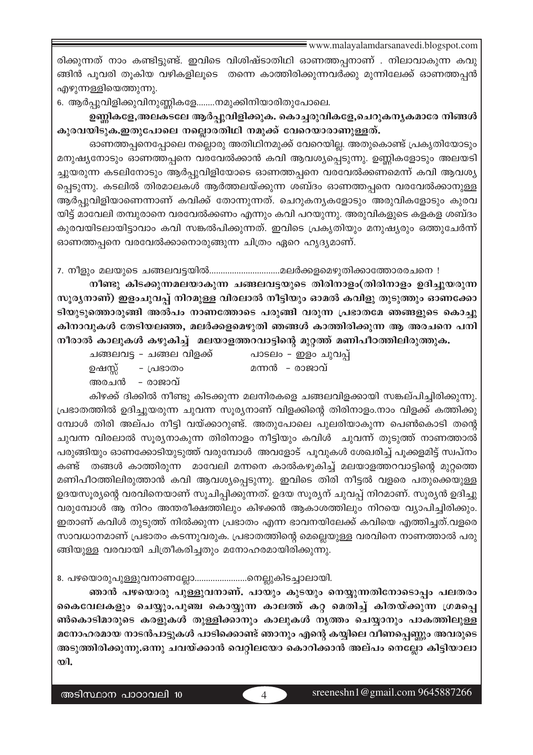രിക്കുന്നത് നാം കണ്ടിട്ടുണ്ട്. ഇവിടെ വിശിഷ്ടാതിഥി ഓണത്തപ്പനാണ് . നിലാവാകുന്ന കവു ങ്ങിൻ പുവരി തുകിയ വഴികളിലൂടെ തന്നെ കാത്തിരിക്കുന്നവർക്കു മുന്നിലേക്ക് ഓണത്തപൻ എഴുന്നളളിയെത്തുന്നു.

6. ആർപ്പുവിളിക്കുവിനുണ്ണികളേ........നമുക്കിനിയാരിതുപോലെ.

ഉണ്ണികളേ,അലകടലേ ആർപ്പുവിളിക്കുക. കൊച്ചരുവികളേ,ചെറുകന്യകമാരേ നിങ്ങൾ കുരവയിടുക.ഇതുപോലെ നല്ലൊരതിഥി നമുക്ക് വേറെയാരാണുള്ളത്.

ഓണത്തപ്പനെപ്പോലെ നല്ലൊരു അതിഥിനമുക്ക് വേറെയില്ല. അതുകൊണ്ട് പ്രകൃതിയോടും മനുഷ്യനോടും ഓണത്തപ്പനെ വരവേൽക്കാൻ കവി ആവശ്യപ്പെടുന്നു. ഉണ്ണികളോടും അലയടി ച്ചുയരുന്ന കടലിനോടും ആർപ്പുവിളിയോടെ ഓണത്തപ്പനെ വരവേൽക്കണമെന്ന് കവി ആവശ്യ പ്പെടുന്നു. കടലിൽ തിരമാലകൾ ആർത്തലയ്ക്കുന്ന ശബ്ദം ഓണത്തപ്പനെ വരവേൽക്കാനുള്ള ആർപ്പുവിളിയാണെന്നാണ് കവിക്ക് തോന്നുന്നത്. ചെറുകന്യകളോടും അരുവികളോടും കുരവ യിട്ട് മാവേലി തമ്പുരാനെ വരവേൽക്കണം എന്നും കവി പറയുന്നു. അരുവികളുടെ കളകള ശബ്ദം കുരവയിടലായിട്ടാവാം കവി സങ്കൽപിക്കുന്നത്. ഇവിടെ പ്രകൃതിയും മനുഷ്യരും ഒത്തുചേർന്ന് ഓണത്തപ്പനെ വരവേൽക്കാനൊരുങ്ങുന്ന ചിത്രം ഏറെ ഹൃദ്യമാണ്.

7. നീളും മലയുടെ ചങ്ങലവട്ടയിൽ………………………….മലർക്കളമെഴുതിക്കാത്തോരരചനെ !

നീണ്ടു കിടക്കുന്നമലയാകുന്ന ചങ്ങലവട്ടയുടെ തിരിനാളം(തിരിനാളം ഉദിച്ചുയരുന്ന സൂര്യനാണ്) ഇളംചുവപ്പ് നിറമുള്ള വിരലാൽ നീട്ടിയും ഓമൽ കവിളു തുടുത്തും ഓണക്കോ ടിയുടുത്തൊരുങ്ങി അൽപം നാണത്തോടെ പരുങ്ങി വരുന്ന പ്രഭാതമേ ഞങ്ങളുടെ കൊച്ചു കിനാവുകൾ തേടിയലഞ്ഞ, മലർക്കളമെഴുതി ഞങ്ങൾ കാത്തിരിക്കുന്ന ആ അരചനെ പനി നീരാൽ കാലുകൾ കഴുകിച്ച് മലയാളത്തറവാട്ടിന്റെ മുറ്റത്ത് മണിപീഠത്തിലിരുത്തുക.

| ചങ്ങലവട്ട - ചങ്ങല വിളക്ക് |                  | പാടലം - ഇളം ചുവപ്പ് |
|---------------------------|------------------|---------------------|
|                           | ഉഷസ്സ് - പ്രഭാതം | മന്നൻ - രാജാവ്      |
|                           | അരചൻ - രാജാവ്    |                     |

കിഴക്ക് ദിക്കിൽ നീണ്ടു കിടക്കുന്ന മലനിരകളെ ചങ്ങലവിളക്കായി സങ്കല്പിച്ചിരിക്കുന്നു. പ്രഭാതത്തിൽ ഉദിച്ചുയരുന്ന ചുവന്ന സൂര്യനാണ് വിളക്കിന്റെ തിരിനാളം.നാം വിളക്ക് കത്തിക്കു മ്പോൾ തിരി അല്പം നീട്ടി വയ്ക്കാറുണ്ട്. അതുപോലെ പുലരിയാകുന്ന പെൺകൊടി തന്റെ ചുവന്ന വിരലാൽ സൂര്യനാകുന്ന തിരിനാളം നീട്ടിയും കവിൾ ചുവന്ന് തുടുത്ത് നാണത്താൽ പരുങ്ങിയും ഓണക്കോടിയുടുത്ത് വരുമ്പോൾ അവളോട് പൂവുകൾ ശേഖരിച്ച് പൂക്കളമിട്ട് സ്വപ്നം തങ്ങൾ കാത്തിരുന്ന മാവേലി മന്നനെ കാൽകഴുകിച്ച് മലയാളത്തറവാട്ടിന്റെ മുറ്റത്തെ കണ്ട് മണിപീഠത്തിലിരുത്താൻ കവി ആവശ്യപ്പെടുന്നു. ഇവിടെ തിരി നീട്ടൽ വളരെ പതുക്കെയുള്ള ഉദയസൂര്യന്റെ വരവിനെയാണ് സൂചിപ്പിക്കുന്നത്. ഉദയ സൂര്യന് ചുവപ്പ് നിറമാണ്. സൂര്യൻ ഉദിച്ചു വരുമ്പോൾ ആ നിറം അന്തരീക്ഷത്തിലും കിഴക്കൻ ആകാശത്തിലും നിറയെ വ്യാപിച്ചിരിക്കും. ഇതാണ് കവിൾ തുടുത്ത് നിൽക്കുന്ന പ്രഭാതം എന്ന ഭാവനയിലേക്ക് കവിയെ എത്തിച്ചത്.വളരെ സാവധാനമാണ് പ്രഭാതം കടന്നുവരുക. പ്രഭാതത്തിന്റെ മെല്ലെയുള്ള വരവിനെ നാണത്താൽ പരു ങ്ങിയുള്ള വരവായി ചിത്രീകരിച്ചതും മനോഹരമായിരിക്കുന്നു.

8. പഴയൊരുപുള്ളുവനാണല്ലോ...........................നെല്ലുകിടച്ചാലായി.

ഞാൻ പഴയൊരു പുള്ളുവനാണ്. പായും കുടയും നെയ്യുന്നതിനോടൊപ്പം പലതരം കൈവേലകളും ചെയ്യും.പുഞ്ച കൊയ്യുന്ന കാലത്ത് കറ്റ മെതിച്ച് കിതയ്ക്കുന്ന ഗ്രമപ്പെ ൺകൊടിമാരുടെ കരളുകൾ തുള്ളിക്കാനും കാലുകൾ നൃത്തം ചെയ്യാനും പാകത്തിലുള്ള മനോഹരമായ നാടൻപാട്ടുകൾ പാടിക്കൊണ്ട് ഞാനും എന്റെ കയ്യിലെ വീണപ്പെണ്ണും അവരുടെ അടുത്തിരിക്കുന്നു.ഒന്നു ചവയ്ക്കാൻ വെറ്റിലയോ കൊറിക്കാൻ അല്പം നെല്ലോ കിട്ടിയാലാ  $\infty$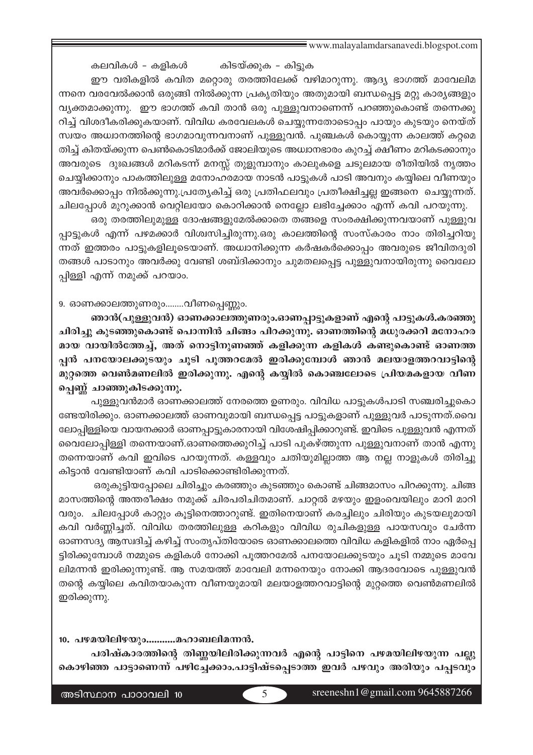കലവികൾ - കളികൾ കിടയ്ക്കുക - കിട്ടുക ഈ വരികളിൽ കവിത മറ്റൊരു തരത്തിലേക്ക് വഴിമാറുന്നു. ആദ്യ ഭാഗത്ത് മാവേലിമ ന്നനെ വരവേൽക്കാൻ ഒരുങ്ങി നിൽക്കുന്ന പ്രകൃതിയും അതുമായി ബന്ധപ്പെട്ട മറ്റു കാര്യങ്ങളും വൃക്തമാക്കുന്നു. ഈ ഭാഗത്ത് കവി താൻ ഒരു പുള്ളുവനാണെന്ന് പറഞ്ഞുകൊണ്ട് തന്നെക്കു റിച്ച് വിശദീകരിക്കുകയാണ്. വിവിധ കരവേലകൾ ചെയ്യുന്നതോടൊപ്പം പായും കുടയും നെയ്ത് സ്വയം അധ്വാനത്തിന്റെ ഭാഗമാവുന്നവനാണ് പുള്ളുവൻ. പുഞ്ചകൾ കൊയ്യുന്ന കാലത്ത് കറ്റമെ തിച്ച് കിതയ്ക്കുന്ന പെൺകൊടിമാർക്ക് ജോലിയുടെ അധ്വാനഭാരം കുറച്ച് ക്ഷീണം മറികടക്കാനും അവരുടെ ദുഃഖങ്ങൾ മറികടന്ന് മനസ്സ് തുളുമ്പാനും കാലുകളെ ചടുലമായ രീതിയിൽ നൃത്തം ചെയ്യിക്കാനും പാകത്തിലുള്ള മനോഹരമായ നാടൻ പാട്ടുകൾ പാടി അവനും കയ്യിലെ വീണയും അവർക്കൊപ്പം നിൽക്കുന്നു.പ്രത്യേകിച്ച് ഒരു പ്രതിഫലവും പ്രതീക്ഷിച്ചല്ല ഇങ്ങനെ ചെയ്യുന്നത്. ചിലപ്പോൾ മുറുക്കാൻ വെറ്റിലയോ കൊറിക്കാൻ നെല്ലോ ലഭിച്ചേക്കാം എന്ന് കവി പറയുന്നു.

ഒരു തരത്തിലുമുള്ള ദോഷങ്ങളുമേൽക്കാതെ തങ്ങളെ സംരക്ഷിക്കുന്നവയാണ് പുള്ളുവ പ്പാട്ടുകൾ എന്ന് പഴമക്കാർ വിശ്വസിച്ചിരുന്നു.ഒരു കാലത്തിന്റെ സംസ്കാരം നാം തിരിച്ചറിയു ന്നത് ഇത്തരം പാട്ടുകളിലൂടെയാണ്. അധ്വാനിക്കുന്ന കർഷകർക്കൊപ്പം അവരുടെ ജീവിതദുരി തങ്ങൾ പാടാനും അവർക്കു വേണ്ടി ശബ്ദിക്കാനും ചുമതലപ്പെട്ട പുള്ളുവനായിരുന്നു വൈലോ പ്പിള്ളി എന്ന് നമുക്ക് പറയാം.

#### 9. ഓണക്കാലത്തുണരും........വീണപ്പെണ്ണും.

ഞാൻ(പുള്ളുവൻ) ഓണക്കാലത്തുണരും.ഓണപ്പാട്ടുകളാണ് എന്റെ പാട്ടുകൾ.കരഞ്ഞു ചിരിച്ചു കുടഞ്ഞുകൊണ്ട് പൊന്നിൻ ചിങ്ങം പിറക്കുന്നു. ഓണത്തിന്റെ മധുരക്കറി മനോഹര മായ വായിൽത്തേച്ച്, അത് നൊട്ടിനുണഞ്ഞ് കളിക്കുന്ന കളികൾ കണ്ടുകൊണ്ട് ഓണത്ത പ്പൻ പനയോലക്കുടയും ചൂടി പുത്തറമേൽ ഇരിക്കുമ്പോൾ ഞാൻ മലയാളത്തറവാട്ടിന്റെ മുറ്റത്തെ വെൺമണലിൽ ഇരിക്കുന്നു. എന്റെ കയ്യിൽ കൊഞ്ചലോടെ പ്രിയമകളായ വീണ പ്പെണ്ണ് ചാഞ്ഞുകിടക്കുന്നു.

പുള്ളുവൻമാർ ഓണക്കാലത്ത് നേരത്തെ ഉണരും. വിവിധ പാട്ടുകൾപാടി സഞ്ചരിച്ചുകൊ ണ്ടേയിരിക്കും. ഓണക്കാലത്ത് ഓണവുമായി ബന്ധപ്പെട്ട പാട്ടുകളാണ് പുള്ളുവർ പാടുന്നത്.വൈ ലോപ്പിള്ളിയെ വായനക്കാർ ഓണപ്പാട്ടുകാരനായി വിശേഷിപ്പിക്കാറുണ്ട്. ഇവിടെ പുള്ളുവൻ എന്നത് വൈലോപ്പിള്ളി തന്നെയാണ്.ഓണത്തെക്കുറിച്ച് പാടി പുകഴ്ത്തുന്ന പുള്ളുവനാണ് താൻ എന്നു തന്നെയാണ് കവി ഇവിടെ പറയുന്നത്. കള്ളവും ചതിയുമില്ലാത്ത ആ നല്ല നാളുകൾ തിരിച്ചു കിട്ടാൻ വേണ്ടിയാണ് കവി പാടിക്കൊണ്ടിരിക്കുന്നത്.

ഒരുകുട്ടിയപ്പോലെ ചിരിച്ചും കരഞ്ഞും കുടഞ്ഞും കൊണ്ട് ചിങ്ങമാസം പിറക്കുന്നു. ചിങ്ങ മാസത്തിന്റെ അന്തരീക്ഷം നമുക്ക് ചിരപരിചിതമാണ്. ചാറ്റൽ മഴയും ഇളംവെയിലും മാറി മാറി വരും. ചിലപ്പോൾ കാറ്റും കൂട്ടിനെത്താറുണ്ട്. ഇതിനെയാണ് കരച്ചിലും ചിരിയും കുടയലുമായി കവി വർണ്ണിച്ചത്. വിവിധ തരത്തിലുള്ള കറികളും വിവിധ രുചികളുള്ള പായസവും ചേർന്ന ഓണസദ്യ ആസ്വദിച്ച് കഴിച്ച് സംതൃപ്തിയോടെ ഓണക്കാലത്തെ വിവിധ കളികളിൽ നാം ഏർപ്പെ ട്ടിരിക്കുമ്പോൾ നമ്മുടെ കളികൾ നോക്കി പുത്തറമേൽ പനയോലക്കുടയും ചൂടി നമ്മുടെ മാവേ ലിമന്നൻ ഇരിക്കുന്നുണ്ട്. ആ സമയത്ത് മാവേലി മന്നനെയും നോക്കി ആദരവോടെ പുള്ളുവൻ തന്റെ കയ്യിലെ കവിതയാകുന്ന വീണയുമായി മലയാളത്തറവാട്ടിന്റെ മുറ്റത്തെ വെൺമണലിൽ ഇരിക്കുന്നു.

10. പഴമയിലിഴയും...........മഹാബലിമന്നൻ.

പരിഷ്കാരത്തിന്റെ തിണ്ണയിലിരിക്കുന്നവർ എന്റെ പാട്ടിനെ പഴമയിലിഴയുന്ന പല്ലു കൊഴിഞ്ഞ പാട്ടാണെന്ന് പഴിച്ചേക്കാം.പാട്ടിഷ്ടപ്പെടാത്ത ഇവർ പഴവും അരിയും പപ്പടവും

 $\overline{5}$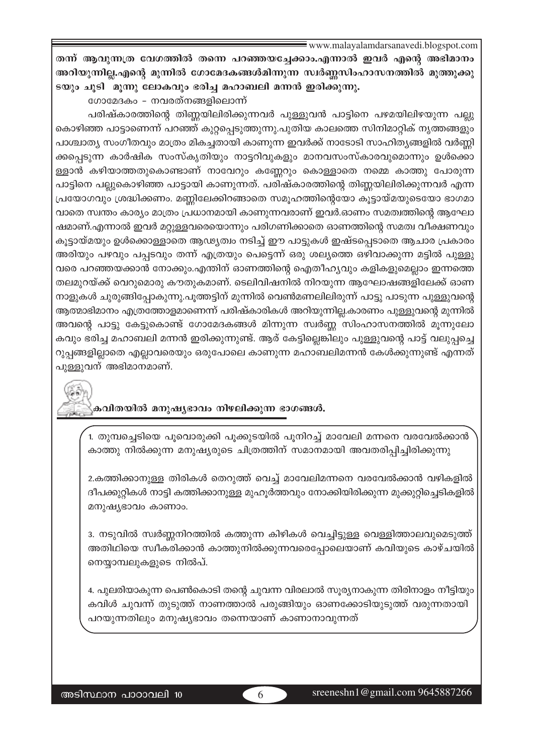തന്ന് ആവുന്നത്ര വേഗത്തിൽ തന്നെ പറഞ്ഞയച്ചേക്കാം.എന്നാൽ ഇവർ എന്റെ അഭിമാനം അറിയുന്നില്ല.എന്റെ മുന്നിൽ ഗോമേദകങ്ങൾമിന്നുന്ന സ്ഥർണ്ണസിംഹാസനത്തിൽ മുത്തുക്കു ടയും ചൂടി "മൂന്നു ലോകവും ഭരിച്ച മഹാബലി മന്നൻ ഇരിക്കുന്നു.

ഗോമേദകം - നവരത്നങ്ങളിലൊന്ന്

പരിഷ്കാരത്തിന്റെ തിണ്ണയിലിരിക്കുന്നവർ പുള്ളുവൻ പാട്ടിനെ പഴമയിലിഴയുന്ന പല്ലു കൊഴിഞ്ഞ പാട്ടാണെന്ന് പറഞ്ഞ് കുറ്റപ്പെടുത്തുന്നു.പുതിയ കാലത്തെ സിനിമാറ്റിക് നൃത്തങ്ങളും പാശ്ചാത്യ സംഗീതവും മാത്രം മികച്ചതായി കാണുന്ന ഇവർക്ക് നാടോടി സാഹിത്യങ്ങളിൽ വർണ്ണി ക്കപ്പെടുന്ന കാർഷിക സംസ്കൃതിയും നാട്ടറിവുകളും മാനവസംസ്കാരവുമൊന്നും ഉൾക്കൊ ള്ളാൻ കഴിയാത്തതുകൊണ്ടാണ് നാവേറും കണ്ണേറും കൊള്ളാതെ നമ്മെ കാത്തു പോരുന്ന പാട്ടിനെ പല്ലുകൊഴിഞ്ഞ പാട്ടായി കാണുന്നത്. പരിഷ്കാരത്തിന്റെ തിണ്ണയിലിരിക്കുന്നവർ എന്ന പ്രയോഗവും ശ്രദ്ധിക്കണം. മണ്ണിലേക്കിറങ്ങാതെ സമൂഹത്തിന്റെയോ കൂട്ടായ്മയുടെയോ ഭാഗമാ വാതെ സ്വന്തം കാര്യം മാത്രം പ്രധാനമായി കാണുന്നവരാണ് ഇവർ.ഓണം സമത്വത്തിന്റെ ആഘോ ഷമാണ്.എന്നാൽ ഇവർ മറ്റുള്ളവരെയൊന്നും പരിഗണിക്കാതെ ഓണത്തിന്റെ സമത്വ വീക്ഷണവും കൂട്ടായ്മയും ഉൾക്കൊള്ളാതെ ആഢ്യത്വം നടിച്ച് ഈ പാട്ടുകൾ ഇഷ്ടപ്പെടാതെ ആചാര പ്രകാരം അരിയും പഴവും പപ്പടവും തന്ന് എത്രയും പെട്ടെന്ന് ഒരു ശല്യത്തെ ഒഴിവാക്കുന്ന മട്ടിൽ പുള്ളു വരെ പറഞ്ഞയക്കാൻ നോക്കും.എന്തിന് ഓണത്തിന്റെ ഐതീഹ്യവും കളികളുമെല്ലാം ഇന്നത്തെ തലമുറയ്ക്ക് വെറുമൊരു കൗതുകമാണ്. ടെലിവിഷനിൽ നിറയുന്ന ആഘോഷങ്ങളിലേക്ക് ഓണ നാളുകൾ ചുരുങ്ങിപ്പോകുന്നു.പൂത്തട്ടിന് മുന്നിൽ വെൺമണലിലിരുന്ന് പാട്ടു പാടുന്ന പുള്ളുവന്റെ ആത്മാഭിമാനം എത്രത്തോളമാണെന്ന് പരിഷ്കാരികൾ അറിയുന്നില്ല.കാരണം പുള്ളുവന്റെ മുന്നിൽ അവന്റെ പാട്ടു കേട്ടുകൊണ്ട് ഗോമേദകങ്ങൾ മിന്നുന്ന സ്വർണ്ണ സിംഹാസനത്തിൽ മൂന്നുലോ കവും ഭരിച്ച മഹാബലി മന്നൻ ഇരിക്കുന്നുണ്ട്. ആര് കേട്ടില്ലെങ്കിലും പുള്ളുവന്റെ പാട്ട് വലുപ്പച്ചെ റുപ്പങ്ങളില്ലാതെ എല്ലാവരെയും ഒരുപോലെ കാണുന്ന മഹാബലിമന്നൻ കേൾക്കുന്നുണ്ട് എന്നത് പുള്ളുവന് അഭിമാനമാണ്.

കവിതയിൽ മനുഷ്യഭാവം നിഴലിക്കുന്ന ഭാഗങ്ങൾ.

1. തുമ്പച്ചെടിയെ പൂവൊരുക്കി പൂക്കുടയിൽ പുനിറച്ച് മാവേലി മന്നനെ വരവേൽക്കാൻ കാത്തു നിൽക്കുന്ന മനുഷ്യരുടെ ചിത്രത്തിന് സമാനമായി അവതരിപ്പിച്ചിരിക്കുന്നു

2.കത്തിക്കാനുള്ള തിരികൾ തെറുത്ത് വെച്ച് മാവേലിമന്നനെ വരവേൽക്കാൻ വഴികളിൽ ദീപക്കുറ്റികൾ നാട്ടി കത്തിക്കാനുള്ള മുഹൂർത്തവും നോക്കിയിരിക്കുന്ന മുക്കുറ്റിച്ചെടികളിൽ മനുഷ്യഭാവം കാണാം.

3. നടുവിൽ സ്വർണ്ണനിറത്തിൽ കത്തുന്ന കിഴികൾ വെച്ചിട്ടുള്ള വെള്ളിത്താലവുമെടുത്ത് അതിഥിയെ സ്വീകരിക്കാൻ കാത്തുനിൽക്കുന്നവരെപ്പോലെയാണ് കവിയുടെ കാഴ്ചയിൽ നെയ്യാമ്പലുകളുടെ നിൽപ്.

4. പുലരിയാകുന്ന പെൺകൊടി തന്റെ ചുവന്ന വിരലാൽ സൂര്യനാകുന്ന തിരിനാളം നീട്ടിയും കവിൾ ചുവന്ന് തുടുത്ത് നാണത്താൽ പരുങ്ങിയും ഓണക്കോടിയുടുത്ത് വരുന്നതായി പറയുന്നതിലും മനുഷ്യഭാവം തന്നെയാണ് കാണാനാവുന്നത്

6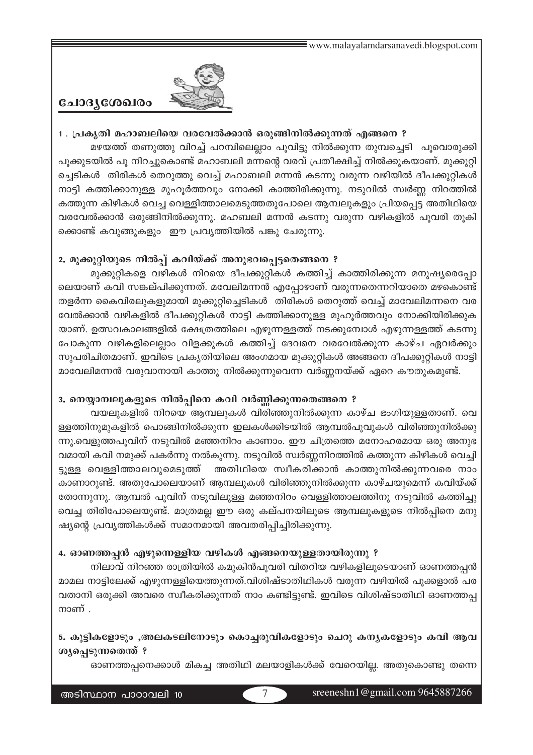

# ചോദൃശേഖരം

# 1 . പ്രകൃതി മഹാബലിയെ വരവേൽക്കാൻ ഒരുങ്ങിനിൽക്കുന്നത് എങ്ങനെ ? മഴയത്ത് തണുത്തു വിറച്ച് പറമ്പിലെല്ലാം പൂവിട്ടു നിൽക്കുന്ന തുമ്പച്ചെടി പൂവൊരുക്കി പൂക്കുടയിൽ പൂ നിറച്ചുകൊണ്ട് മഹാബലി മന്നന്റെ വരവ് പ്രതീക്ഷിച്ച് നിൽക്കുകയാണ്. മുക്കുറ്റി ച്ചെടികൾ തിരികൾ തെറുത്തു വെച്ച് മഹാബലി മന്നൻ കടന്നു വരുന്ന വഴിയിൽ ദീപക്കുറ്റികൾ നാട്ടി കത്തിക്കാനുള്ള മുഹൂർത്തവും നോക്കി കാത്തിരിക്കുന്നു. നടുവിൽ സ്വർണ്ണ നിറത്തിൽ കത്തുന്ന കിഴികൾ വെച്ച വെള്ളിത്താലമെടുത്തതുപോലെ ആമ്പലുകളും പ്രിയപ്പെട്ട അതിഥിയെ വരവേൽക്കാൻ ഒരുങ്ങിനിൽക്കുന്നു. മഹബലി മന്നൻ കടന്നു വരുന്ന വഴികളിൽ പൂവരി തൂകി ക്കൊണ്ട് കവുങ്ങുകളും ഈ പ്രവൃത്തിയിൽ പങ്കു ചേരുന്നു.

# 2. മുക്കുറ്റിയുടെ നിൽപ്പ് കവിയ്ക്ക് അനുഭവപ്പെട്ടതെങ്ങനെ ?

മുക്കുറ്റികളെ വഴികൾ നിറയെ ദീപക്കുറ്റികൾ കത്തിച്ച് കാത്തിരിക്കുന്ന മനുഷ്യരെപ്പോ ലെയാണ് കവി സങ്കല്പിക്കുന്നത്. മവേലിമന്നൻ എപ്പോഴാണ് വരുന്നതെന്നറിയാതെ മഴകൊണ്ട് തളർന്ന കൈവിരലുകളുമായി മുക്കുറ്റിച്ചെടികൾ തിരികൾ തെറുത്ത് വെച്ച് മാവേലിമന്നനെ വര വേൽക്കാൻ വഴികളിൽ ദീപക്കുറ്റികൾ നാട്ടി കത്തിക്കാനുള്ള മുഹൂർത്തവും നോക്കിയിരിക്കുക യാണ്. ഉത്സവകാലങ്ങളിൽ ക്ഷേത്രത്തിലെ എഴുന്നള്ളത്ത് നടക്കുമ്പോൾ എഴുന്നള്ളത്ത് കടന്നു പോകുന്ന വഴികളിലെല്ലാം വിളക്കുകൾ കത്തിച്ച് ദേവനെ വരവേൽക്കുന്ന കാഴ്ച ഏവർക്കും സുപരിചിതമാണ്. ഇവിടെ പ്രകൃതിയിലെ അംഗമായ മുക്കുറ്റികൾ അങ്ങനെ ദീപക്കുറ്റികൾ നാട്ടി മാവേലിമന്നൻ വരുവാനായി കാത്തു നിൽക്കുന്നുവെന്ന വർണ്ണനയ്ക്ക് ഏറെ കൗതുകമുണ്ട്.

### 3. നെയ്യാമ്പലുകളുടെ നിൽപ്പിനെ കവി വർണ്ണിക്കുന്നതെങ്ങനെ ?

വയലുകളിൽ നിറയെ ആമ്പലുകൾ വിരിഞ്ഞുനിൽക്കുന്ന കാഴ്ച ഭംഗിയുള്ളതാണ്. വെ ള്ളത്തിനുമുകളിൽ പൊങ്ങിനിൽക്കുന്ന ഇലകൾക്കിടയിൽ ആമ്പൽപുവുകൾ വിരിഞ്ഞുനിൽക്കു ന്നു.വെളുത്തപൂവിന് നടുവിൽ മഞ്ഞനിറം കാണാം. ഈ ചിത്രത്തെ മനോഹരമായ ഒരു അനുഭ വമായി കവി നമുക്ക് പകർന്നു നൽകുന്നു. നടുവിൽ സ്വർണ്ണനിറത്തിൽ കത്തുന്ന കിഴികൾ വെച്ചി ട്ടുള്ള വെള്ളിത്താലവുമെടുത്ത് അതിഥിയെ സ്വീകരിക്കാൻ കാത്തുനിൽക്കുന്നവരെ നാം കാണാറുണ്ട്. അതുപോലെയാണ് ആമ്പലുകൾ വിരിഞ്ഞുനിൽക്കുന്ന കാഴ്ചയുമെന്ന് കവിയ്ക്ക് തോന്നുന്നു. ആമ്പൽ പുവിന് നടുവിലുള്ള മഞ്ഞനിറം വെള്ളിത്താലത്തിനു നടുവിൽ കത്തിച്ചു വെച്ച തിരിപോലെയുണ്ട്. മാത്രമല്ല ഈ ഒരു കല്പനയിലൂടെ ആമ്പലുകളുടെ നിൽപ്പിനെ മനു ഷ്യന്റെ പ്രവൃത്തികൾക്ക് സമാനമായി അവതരിപ്പിച്ചിരിക്കുന്നു.

# 4. ഓണത്തപ്പൻ എഴുന്നെള്ളിയ വഴികൾ എങ്ങനെയുള്ളതായിരുന്നു ?

നിലാവ് നിറഞ്ഞ രാത്രിയിൽ കമുകിൻപൂവരി വിതറിയ വഴികളിലൂടെയാണ് ഓണത്തപ്പൻ മാമല നാട്ടിലേക്ക് എഴുന്നള്ളിയെത്തുന്നത്.വിശിഷ്ടാതിഥികൾ വരുന്ന വഴിയിൽ പൂക്കളാൽ പര വതാനി ഒരുക്കി അവരെ സ്വീകരിക്കുന്നത് നാം കണ്ടിട്ടുണ്ട്. ഇവിടെ വിശിഷ്ടാതിഥി ഓണത്തപ്പ നാണ് .

# 5. കുട്ടികളോടും ,അലകടലിനോടും കൊച്ചരുവികളോടും ചെറു കന്യകളോടും കവി ആവ ശൃപ്പെടുന്നതെന്ത് ?

ഓണത്തപ്പനെക്കാൾ മികച്ച അതിഥി മലയാളികൾക്ക് വേറെയില്ല. അതുകൊണ്ടു തന്നെ

 $\overline{7}$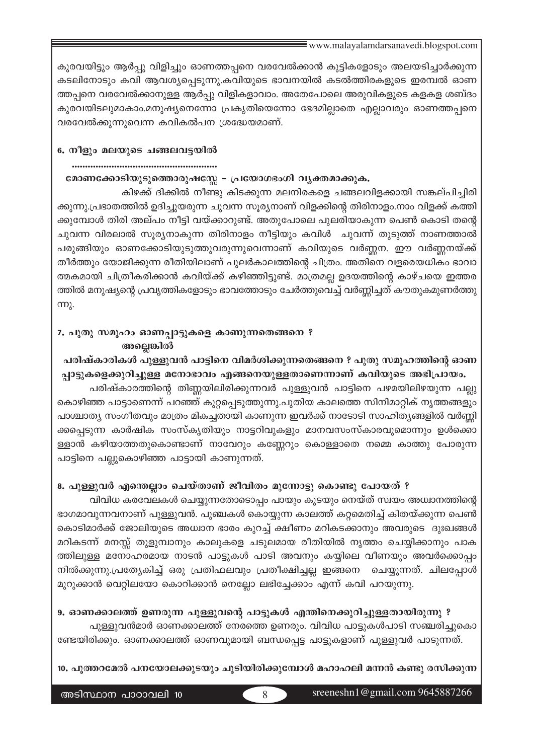കുരവയിട്ടും ആർപ്പു വിളിച്ചും ഓണത്തപ്പനെ വരവേൽക്കാൻ കുട്ടികളോടും അലയടിച്ചാർക്കുന്ന കടലിനോടും കവി ആവശ്യപ്പെടുന്നു.കവിയുടെ ഭാവനയിൽ കടൽത്തിരകളുടെ ഇരമ്പൽ ഓണ ത്തപ്പനെ വരവേൽക്കാനുള്ള ആർപ്പു വിളികളാവാം. അതേപോലെ അരുവികളുടെ കളകള ശബ്ദം കുരവയിടലുമാകാം.മനുഷ്യനെന്നോ പ്രകൃതിയെന്നോ ഭേദമില്ലാതെ എല്ലാവരും ഓണത്തപ്പനെ വരവേൽക്കുന്നുവെന്ന കവികൽപന ശ്രദ്ധേയമാണ്.

#### 6. നീളും മലയുടെ ചങ്ങലവട്ടയിൽ

#### മോണക്കോടിയുടുത്തൊരുഷസ്സേ – പ്രയോഗഭംഗി വൃക്തമാക്കുക.

കിഴക്ക് ദിക്കിൽ നീണ്ടു കിടക്കുന്ന മലനിരകളെ ചങ്ങലവിളക്കായി സങ്കല്പിച്ചിരി ക്കുന്നു.പ്രഭാതത്തിൽ ഉദിച്ചുയരുന്ന ചുവന്ന സൂര്യനാണ് വിളക്കിന്റെ തിരിനാളം.നാം വിളക്ക് കത്തി ക്കുമ്പോൾ തിരി അല്പം നീട്ടി വയ്ക്കാറുണ്ട്. അതുപോലെ പുലരിയാകുന്ന പെൺ കൊടി തന്റെ ചുവന്ന വിരലാൽ സൂര്യനാകുന്ന തിരിനാളം നീട്ടിയും കവിൾ ചുവന്ന് തുടുത്ത് നാണത്താൽ പരുങ്ങിയും ഓണക്കോടിയുടുത്തുവരുന്നുവെന്നാണ് കവിയുടെ വർണ്ണന. ഈ വർണ്ണനയ്ക്ക് തീർത്തും യോജിക്കുന്ന രീതിയിലാണ് പുലർകാലത്തിന്റെ ചിത്രം. അതിനെ വളരെയധികം ഭാവാ ത്മകമായി ചിത്രീകരിക്കാൻ കവിയ്ക്ക് കഴിഞ്ഞിട്ടുണ്ട്. മാത്രമല്ല ഉദയത്തിന്റെ കാഴ്ചയെ ഇത്തര ത്തിൽ മനുഷ്യന്റെ പ്രവൃത്തികളോടും ഭാവത്തോടും ചേർത്തുവെച്ച് വർണ്ണിച്ചത് കൗതുകമുണർത്തു  $mp<sub>k</sub>$ .

# 7. പുതു സമൂഹം ഓണപ്പാട്ടുകളെ കാണുന്നതെങ്ങനെ ? അല്ലെങ്കിൽ

# പരിഷ്കാരികൾ പുള്ളുവൻ പാട്ടിനെ വിമർശിക്കുന്നതെങ്ങനെ ? പുതു സമൂഹത്തിന്റെ ഓണ പ്പാട്ടുകളെക്കുറിച്ചുള്ള മനോഭാവം എങ്ങനെയുള്ളതാണെന്നാണ് കവിയുടെ അഭിപ്രായം.

പരിഷ്കാരത്തിന്റെ തിണ്ണയിലിരിക്കുന്നവർ പുള്ളുവൻ പാട്ടിനെ പഴമയിലിഴയുന്ന പല്ലു കൊഴിഞ്ഞ പാട്ടാണെന്ന് പറഞ്ഞ് കുറ്റപ്പെടുത്തുന്നു.പുതിയ കാലത്തെ സിനിമാറ്റിക് നൃത്തങ്ങളും പാശ്ചാത്യ സംഗീതവും മാത്രം മികച്ചതായി കാണുന്ന ഇവർക്ക് നാടോടി സാഹിത്യങ്ങളിൽ വർണ്ണി ക്കപ്പെടുന്ന കാർഷിക സംസ്കൃതിയും നാട്ടറിവുകളും മാനവസംസ്കാരവുമൊന്നും ഉൾക്കൊ ള്ളാൻ കഴിയാത്തതുകൊണ്ടാണ് നാവേറും കണ്ണേറും കൊള്ളാതെ നമ്മെ കാത്തു പോരുന്ന പാട്ടിനെ പല്ലുകൊഴിഞ്ഞ പാട്ടായി കാണുന്നത്.

### 8. പുള്ളുവർ എന്തെല്ലാം ചെയ്താണ് ജീവിതം മുന്നോട്ടു കൊണ്ടു പോയത് ?

വിവിധ കരവേലകൾ ചെയ്യുന്നതോടൊപ്പം പായും കുടയും നെയ്ത് സ്വയം അധ്വാനത്തിന്റെ ഭാഗമാവുന്നവനാണ് പുള്ളുവൻ. പുഞ്ചകൾ കൊയ്യുന്ന കാലത്ത് കറ്റമെതിച്ച് കിതയ്ക്കുന്ന പെൺ കൊടിമാർക്ക് ജോലിയുടെ അധ്വാന ഭാരം കുറച്ച് ക്ഷീണം മറികടക്കാനും അവരുടെ ദുഃഖങ്ങൾ മറികടന്ന് മനസ്സ് തുളുമ്പാനും കാലുകളെ ചടുലമായ രീതിയിൽ നൃത്തം ചെയ്യിക്കാനും പാക ത്തിലുള്ള മനോഹരമായ നാടൻ പാട്ടുകൾ പാടി അവനും കയ്യിലെ വീണയും അവർക്കൊപ്പം നിൽക്കുന്നു.പ്രത്യേകിച്ച് ഒരു പ്രതിഫലവും പ്രതീക്ഷിച്ചല്ല ഇങ്ങനെ ചെയ്യുന്നത്. ചിലപ്പോൾ മുറുക്കാൻ വെറ്റിലയോ കൊറിക്കാൻ നെല്ലോ ലഭിച്ചേക്കാം എന്ന് കവി പറയുന്നു.

### 9. ഓണക്കാലത്ത് ഉണരുന്ന പുള്ളുവന്റെ പാട്ടുകൾ എന്തിനെക്കുറിച്ചുള്ളതായിരുന്നു ?

പുള്ളുവൻമാർ ഓണക്കാലത്ത് നേരത്തെ ഉണരും. വിവിധ പാട്ടുകൾപാടി സഞ്ചരിച്ചുകൊ ണ്ടേയിരിക്കും. ഓണക്കാലത്ത് ഓണവുമായി ബന്ധപ്പെട്ട പാട്ടുകളാണ് പുള്ളുവർ പാടുന്നത്.

#### 10. പൂത്തറമേൽ പനയോലക്കുടയും ചൂടിയിരിക്കുമ്പോൾ മഹാഹലി മന്നൻ കണ്ടു രസിക്കുന്ന

 $\overline{R}$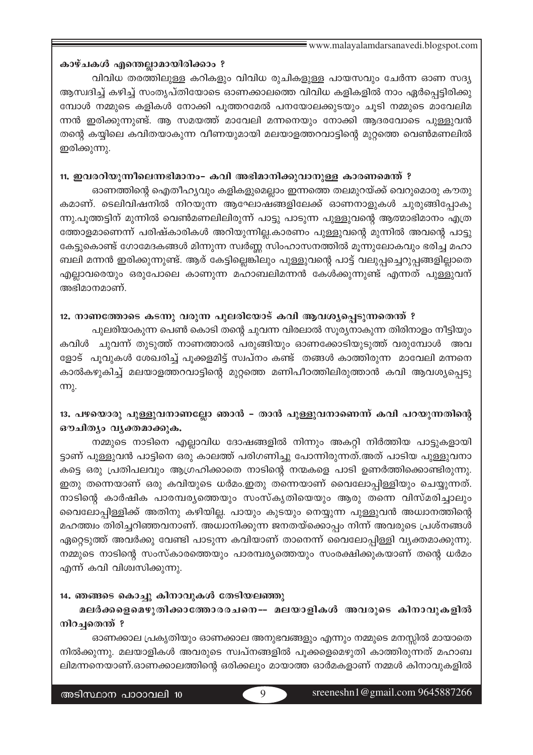#### കാഴ്ചകൾ എന്തെല്ലാമായിരിക്കാം ?

വിവിധ തരത്തിലുള്ള കറികളും വിവിധ രുചികളുള്ള പായസവും ചേർന്ന ഓണ സദ്യ ആസ്വദിച്ച് കഴിച്ച് സംതൃപ്തിയോടെ ഓണക്കാലത്തെ വിവിധ കളികളിൽ നാം ഏർപ്പെട്ടിരിക്കു മ്പോൾ നമ്മുടെ കളികൾ നോക്കി പൂത്തറമേൽ പനയോലക്കുടയും ചൂടി നമ്മുടെ മാവേലിമ ന്നൻ ഇരിക്കുന്നുണ്ട്. ആ സമയത്ത് മാവേലി മന്നനെയും നോക്കി ആദരവോടെ പുള്ളുവൻ തന്റെ കയിലെ കവിതയാകുന്ന വീണയുമായി മലയാളത്തറവാട്ടിന്റെ മുറ്റത്തെ വെൺമണലിൽ ഇരിക്കുന്നു.

#### 11. ഇവരറിയുന്നീലെന്നഭിമാനം– കവി അഭിമാനിക്കുവാനുള്ള കാരണമെന്ത് ?

ഓണത്തിന്റെ ഐതീഹ്യവും കളികളുമെല്ലാം ഇന്നത്തെ തലമുറയ്ക്ക് വെറുമൊരു കൗതു കമാണ്. ടെലിവിഷനിൽ നിറയുന്ന ആഘോഷങ്ങളിലേക്ക് ഓണനാളുകൾ ചുരുങ്ങിപ്പോകു ന്നു.പൂത്തട്ടിന് മുന്നിൽ വെൺമണലിലിരുന്ന് പാട്ടു പാടുന്ന പുള്ളുവന്റെ ആത്മാഭിമാനം എത്ര ത്തോളമാണെന്ന് പരിഷ്കാരികൾ അറിയുന്നില്ല.കാരണം പുള്ളുവന്റെ മുന്നിൽ അവന്റെ പാട്ടു കേട്ടുകൊണ്ട് ഗോമേദകങ്ങൾ മിന്നുന്ന സ്വർണ്ണ സിംഹാസനത്തിൽ മൂന്നുലോകവും ഭരിച്ച മഹാ ബലി മന്നൻ ഇരിക്കുന്നുണ്ട്. ആര് കേട്ടില്ലെങ്കിലും പുള്ളുവന്റെ പാട്ട് വലുപ്പച്ചെറുപ്പങ്ങളില്ലാതെ എല്ലാവരെയും ഒരുപോലെ കാണുന്ന മഹാബലിമന്നൻ കേൾക്കുന്നുണ്ട് എന്നത് പുള്ളുവന് അഭിമാനമാണ്.

#### 12. നാണത്തോടെ കടന്നു വരുന്ന പുലരിയോട് കവി ആവശ്യപ്പെടുന്നതെന്ത് ?

പുലരിയാകുന്ന പെൺ കൊടി തന്റെ ചുവന്ന വിരലാൽ സൂര്യനാകുന്ന തിരിനാളം നീട്ടിയും കവിൾ ചുവന്ന് തുടുത്ത് നാണത്താൽ പരുങ്ങിയും ഓണക്കോടിയുടുത്ത് വരുമ്പോൾ അവ ളോട് പുവുകൾ ശേഖരിച്ച് പുക്കളമിട്ട് സ്വപ്നം കണ്ട് തങ്ങൾ കാത്തിരുന്ന മാവേലി മന്നനെ കാൽകഴുകിച്ച് മലയാളത്തറവാട്ടിന്റെ മുറ്റത്തെ മണിപീഠത്തിലിരുത്താൻ കവി ആവശ്യപ്പെടു  $mp<sub>2</sub>$ .

# 13. പഴയൊരു പുള്ളുവനാണല്ലോ ഞാൻ – താൻ പുള്ളുവനാണെന്ന് കവി പറയുന്നതിന്റെ ഔചിത്യം വ്യക്തമാക്കുക.

നമ്മുടെ നാടിനെ എല്ലാവിധ ദോഷങ്ങളിൽ നിന്നും അകറ്റി നിർത്തിയ പാട്ടുകളായി ട്ടാണ് പുള്ളുവൻ പാട്ടിനെ ഒരു കാലത്ത് പരിഗണിച്ചു പോന്നിരുന്നത്.അത് പാടിയ പുള്ളുവനാ കട്ടെ ഒരു പ്രതിപലവും ആഗ്രഹിക്കാതെ നാടിന്റെ നന്മകളെ പാടി ഉണർത്തിക്കൊണ്ടിരുന്നു. ഇതു തന്നെയാണ് ഒരു കവിയുടെ ധർമം.ഇതു തന്നെയാണ് വൈലോപ്പിള്ളിയും ചെയ്യുന്നത്. നാടിന്റെ കാർഷിക പാരമ്പര്യത്തെയും സംസ്കൃതിയെയും ആരു തന്നെ വിസ്മരിച്ചാലും വൈലോപ്പിള്ളിക്ക് അതിനു കഴിയില്ല. പായും കുടയും നെയ്യുന്ന പുള്ളുവൻ അധ്വാനത്തിന്റെ മഹത്ത്വം തിരിച്ചറിഞ്ഞവനാണ്. അധ്വാനിക്കുന്ന ജനതയ്ക്കൊപ്പം നിന്ന് അവരുടെ പ്രശ്നങ്ങൾ ഏറ്റെടുത്ത് അവർക്കു വേണ്ടി പാടുന്ന കവിയാണ് താനെന്ന് വൈലോപ്പിള്ളി വൃക്തമാക്കുന്നു. നമ്മുടെ നാടിന്റെ സംസ്കാരത്തെയും പാരമ്പര്യത്തെയും സംരക്ഷിക്കുകയാണ് തന്റെ ധർമം എന്ന് കവി വിശ്വസിക്കുന്നു.

#### 14. ഞങ്ങടെ കൊച്ചു കിനാവുകൾ തേടിയലഞ്ഞു

# മലർക്കളെമെഴുതിക്കാത്തോരരചനെ-- മലയാളികൾ അവരുടെ കിനാവുകളിൽ നിറച്ചതെന്ത് ?

ഓണക്കാല പ്രകൃതിയും ഓണക്കാല അനുഭവങ്ങളും എന്നും നമ്മുടെ മനസ്സിൽ മായാതെ നിൽക്കുന്നു. മലയാളികൾ അവരുടെ സ്വപ്നങ്ങളിൽ പൂക്കളെമെഴുതി കാത്തിരുന്നത് മഹാബ ലിമന്നനെയാണ്.ഓണക്കാലത്തിന്റെ ഒരിക്കലും മായാത്ത ഓർമകളാണ് നമ്മൾ കിനാവുകളിൽ

9